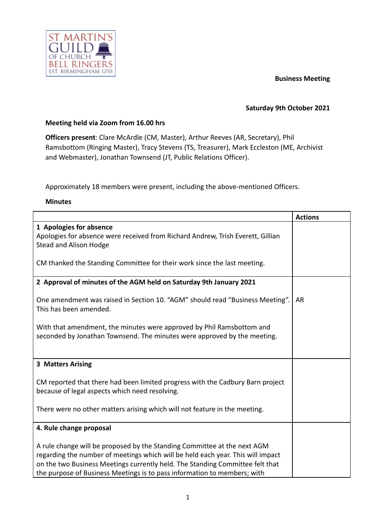# **Business Meeting**



### **Saturday 9th October 2021**

# **Meeting held via Zoom from 16.00 hrs**

**Officers present**: Clare McArdle (CM, Master), Arthur Reeves (AR, Secretary), Phil Ramsbottom (Ringing Master), Tracy Stevens (TS, Treasurer), Mark Eccleston (ME, Archivist and Webmaster), Jonathan Townsend (JT, Public Relations Officer).

Approximately 18 members were present, including the above-mentioned Officers.

#### **Minutes**

|                                                                                                                                                                                                                                                                                                                          | <b>Actions</b> |
|--------------------------------------------------------------------------------------------------------------------------------------------------------------------------------------------------------------------------------------------------------------------------------------------------------------------------|----------------|
| 1 Apologies for absence<br>Apologies for absence were received from Richard Andrew, Trish Everett, Gillian<br><b>Stead and Alison Hodge</b><br>CM thanked the Standing Committee for their work since the last meeting.                                                                                                  |                |
|                                                                                                                                                                                                                                                                                                                          |                |
| 2 Approval of minutes of the AGM held on Saturday 9th January 2021                                                                                                                                                                                                                                                       |                |
| One amendment was raised in Section 10. "AGM" should read "Business Meeting".<br>This has been amended.                                                                                                                                                                                                                  | AR             |
| With that amendment, the minutes were approved by Phil Ramsbottom and<br>seconded by Jonathan Townsend. The minutes were approved by the meeting.                                                                                                                                                                        |                |
| 3 Matters Arising                                                                                                                                                                                                                                                                                                        |                |
| CM reported that there had been limited progress with the Cadbury Barn project<br>because of legal aspects which need resolving.                                                                                                                                                                                         |                |
| There were no other matters arising which will not feature in the meeting.                                                                                                                                                                                                                                               |                |
| 4. Rule change proposal                                                                                                                                                                                                                                                                                                  |                |
| A rule change will be proposed by the Standing Committee at the next AGM<br>regarding the number of meetings which will be held each year. This will impact<br>on the two Business Meetings currently held. The Standing Committee felt that<br>the purpose of Business Meetings is to pass information to members; with |                |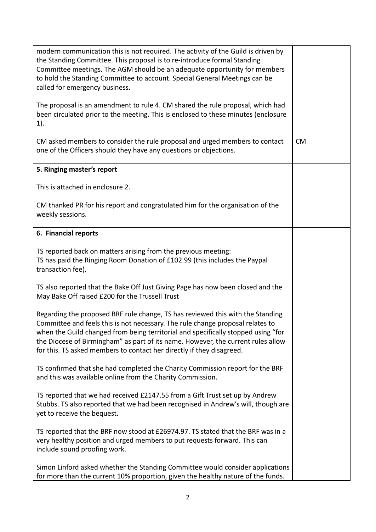| modern communication this is not required. The activity of the Guild is driven by<br>the Standing Committee. This proposal is to re-introduce formal Standing<br>Committee meetings. The AGM should be an adequate opportunity for members<br>to hold the Standing Committee to account. Special General Meetings can be<br>called for emergency business.<br>The proposal is an amendment to rule 4. CM shared the rule proposal, which had<br>been circulated prior to the meeting. This is enclosed to these minutes (enclosure |           |
|------------------------------------------------------------------------------------------------------------------------------------------------------------------------------------------------------------------------------------------------------------------------------------------------------------------------------------------------------------------------------------------------------------------------------------------------------------------------------------------------------------------------------------|-----------|
| 1).<br>CM asked members to consider the rule proposal and urged members to contact                                                                                                                                                                                                                                                                                                                                                                                                                                                 | <b>CM</b> |
| one of the Officers should they have any questions or objections.                                                                                                                                                                                                                                                                                                                                                                                                                                                                  |           |
| 5. Ringing master's report                                                                                                                                                                                                                                                                                                                                                                                                                                                                                                         |           |
| This is attached in enclosure 2.                                                                                                                                                                                                                                                                                                                                                                                                                                                                                                   |           |
| CM thanked PR for his report and congratulated him for the organisation of the<br>weekly sessions.                                                                                                                                                                                                                                                                                                                                                                                                                                 |           |
| 6. Financial reports                                                                                                                                                                                                                                                                                                                                                                                                                                                                                                               |           |
| TS reported back on matters arising from the previous meeting:<br>TS has paid the Ringing Room Donation of £102.99 (this includes the Paypal<br>transaction fee).                                                                                                                                                                                                                                                                                                                                                                  |           |
| TS also reported that the Bake Off Just Giving Page has now been closed and the<br>May Bake Off raised £200 for the Trussell Trust                                                                                                                                                                                                                                                                                                                                                                                                 |           |
| Regarding the proposed BRF rule change, TS has reviewed this with the Standing<br>Committee and feels this is not necessary. The rule change proposal relates to<br>when the Guild changed from being territorial and specifically stopped using "for<br>the Diocese of Birmingham" as part of its name. However, the current rules allow<br>for this. TS asked members to contact her directly if they disagreed.                                                                                                                 |           |
| TS confirmed that she had completed the Charity Commission report for the BRF<br>and this was available online from the Charity Commission.                                                                                                                                                                                                                                                                                                                                                                                        |           |
| TS reported that we had received £2147.55 from a Gift Trust set up by Andrew<br>Stubbs. TS also reported that we had been recognised in Andrew's will, though are<br>yet to receive the bequest.                                                                                                                                                                                                                                                                                                                                   |           |
| TS reported that the BRF now stood at £26974.97. TS stated that the BRF was in a<br>very healthy position and urged members to put requests forward. This can<br>include sound proofing work.                                                                                                                                                                                                                                                                                                                                      |           |
| Simon Linford asked whether the Standing Committee would consider applications<br>for more than the current 10% proportion, given the healthy nature of the funds.                                                                                                                                                                                                                                                                                                                                                                 |           |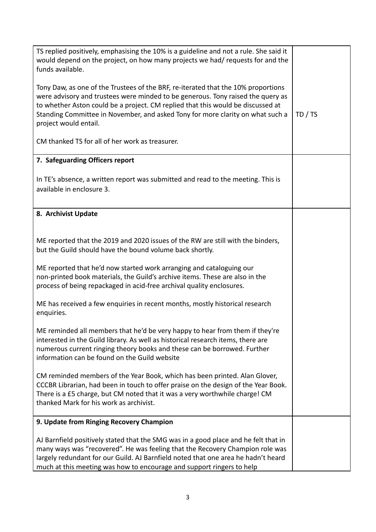| TS replied positively, emphasising the 10% is a guideline and not a rule. She said it<br>would depend on the project, on how many projects we had/ requests for and the                                                                                                                                                                                            |         |
|--------------------------------------------------------------------------------------------------------------------------------------------------------------------------------------------------------------------------------------------------------------------------------------------------------------------------------------------------------------------|---------|
| funds available.                                                                                                                                                                                                                                                                                                                                                   |         |
| Tony Daw, as one of the Trustees of the BRF, re-iterated that the 10% proportions<br>were advisory and trustees were minded to be generous. Tony raised the query as<br>to whether Aston could be a project. CM replied that this would be discussed at<br>Standing Committee in November, and asked Tony for more clarity on what such a<br>project would entail. | TD / TS |
| CM thanked TS for all of her work as treasurer.                                                                                                                                                                                                                                                                                                                    |         |
| 7. Safeguarding Officers report                                                                                                                                                                                                                                                                                                                                    |         |
| In TE's absence, a written report was submitted and read to the meeting. This is<br>available in enclosure 3.                                                                                                                                                                                                                                                      |         |
| 8. Archivist Update                                                                                                                                                                                                                                                                                                                                                |         |
|                                                                                                                                                                                                                                                                                                                                                                    |         |
| ME reported that the 2019 and 2020 issues of the RW are still with the binders,<br>but the Guild should have the bound volume back shortly.                                                                                                                                                                                                                        |         |
| ME reported that he'd now started work arranging and cataloguing our<br>non-printed book materials, the Guild's archive items. These are also in the<br>process of being repackaged in acid-free archival quality enclosures.                                                                                                                                      |         |
| ME has received a few enquiries in recent months, mostly historical research<br>enquiries.                                                                                                                                                                                                                                                                         |         |
| ME reminded all members that he'd be very happy to hear from them if they're<br>interested in the Guild library. As well as historical research items, there are<br>numerous current ringing theory books and these can be borrowed. Further<br>information can be found on the Guild website                                                                      |         |
| CM reminded members of the Year Book, which has been printed. Alan Glover,<br>CCCBR Librarian, had been in touch to offer praise on the design of the Year Book.<br>There is a £5 charge, but CM noted that it was a very worthwhile charge! CM<br>thanked Mark for his work as archivist.                                                                         |         |
| 9. Update from Ringing Recovery Champion                                                                                                                                                                                                                                                                                                                           |         |
| AJ Barnfield positively stated that the SMG was in a good place and he felt that in<br>many ways was "recovered". He was feeling that the Recovery Champion role was<br>largely redundant for our Guild. AJ Barnfield noted that one area he hadn't heard<br>much at this meeting was how to encourage and support ringers to help                                 |         |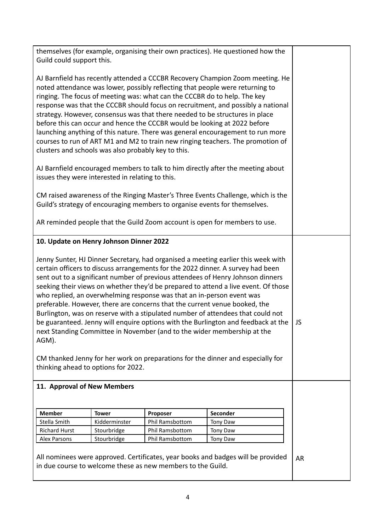| Guild could support this.                                                                                                                                                                                                                                                                                                                                                                                                                                                                                                                                                                                                                                                                                                                                                                                                                                                                  |                                         |                             | themselves (for example, organising their own practices). He questioned how the |    |
|--------------------------------------------------------------------------------------------------------------------------------------------------------------------------------------------------------------------------------------------------------------------------------------------------------------------------------------------------------------------------------------------------------------------------------------------------------------------------------------------------------------------------------------------------------------------------------------------------------------------------------------------------------------------------------------------------------------------------------------------------------------------------------------------------------------------------------------------------------------------------------------------|-----------------------------------------|-----------------------------|---------------------------------------------------------------------------------|----|
| AJ Barnfield has recently attended a CCCBR Recovery Champion Zoom meeting. He<br>noted attendance was lower, possibly reflecting that people were returning to<br>ringing. The focus of meeting was: what can the CCCBR do to help. The key<br>response was that the CCCBR should focus on recruitment, and possibly a national<br>strategy. However, consensus was that there needed to be structures in place<br>before this can occur and hence the CCCBR would be looking at 2022 before<br>launching anything of this nature. There was general encouragement to run more<br>courses to run of ART M1 and M2 to train new ringing teachers. The promotion of<br>clusters and schools was also probably key to this.                                                                                                                                                                   |                                         |                             |                                                                                 |    |
| AJ Barnfield encouraged members to talk to him directly after the meeting about<br>issues they were interested in relating to this.                                                                                                                                                                                                                                                                                                                                                                                                                                                                                                                                                                                                                                                                                                                                                        |                                         |                             |                                                                                 |    |
| CM raised awareness of the Ringing Master's Three Events Challenge, which is the<br>Guild's strategy of encouraging members to organise events for themselves.                                                                                                                                                                                                                                                                                                                                                                                                                                                                                                                                                                                                                                                                                                                             |                                         |                             |                                                                                 |    |
| AR reminded people that the Guild Zoom account is open for members to use.                                                                                                                                                                                                                                                                                                                                                                                                                                                                                                                                                                                                                                                                                                                                                                                                                 |                                         |                             |                                                                                 |    |
|                                                                                                                                                                                                                                                                                                                                                                                                                                                                                                                                                                                                                                                                                                                                                                                                                                                                                            | 10. Update on Henry Johnson Dinner 2022 |                             |                                                                                 |    |
| Jenny Sunter, HJ Dinner Secretary, had organised a meeting earlier this week with<br>certain officers to discuss arrangements for the 2022 dinner. A survey had been<br>sent out to a significant number of previous attendees of Henry Johnson dinners<br>seeking their views on whether they'd be prepared to attend a live event. Of those<br>who replied, an overwhelming response was that an in-person event was<br>preferable. However, there are concerns that the current venue booked, the<br>Burlington, was on reserve with a stipulated number of attendees that could not<br>be guaranteed. Jenny will enquire options with the Burlington and feedback at the<br>next Standing Committee in November (and to the wider membership at the<br>AGM).<br>CM thanked Jenny for her work on preparations for the dinner and especially for<br>thinking ahead to options for 2022. |                                         |                             |                                                                                 | JS |
| 11. Approval of New Members                                                                                                                                                                                                                                                                                                                                                                                                                                                                                                                                                                                                                                                                                                                                                                                                                                                                |                                         |                             |                                                                                 |    |
|                                                                                                                                                                                                                                                                                                                                                                                                                                                                                                                                                                                                                                                                                                                                                                                                                                                                                            |                                         |                             |                                                                                 |    |
| <b>Member</b>                                                                                                                                                                                                                                                                                                                                                                                                                                                                                                                                                                                                                                                                                                                                                                                                                                                                              |                                         |                             |                                                                                 |    |
| Stella Smith                                                                                                                                                                                                                                                                                                                                                                                                                                                                                                                                                                                                                                                                                                                                                                                                                                                                               | <b>Tower</b><br>Kidderminster           | Proposer<br>Phil Ramsbottom | Seconder<br>Tony Daw                                                            |    |
| <b>Richard Hurst</b>                                                                                                                                                                                                                                                                                                                                                                                                                                                                                                                                                                                                                                                                                                                                                                                                                                                                       | Stourbridge                             | Phil Ramsbottom             | Tony Daw                                                                        |    |
| <b>Alex Parsons</b>                                                                                                                                                                                                                                                                                                                                                                                                                                                                                                                                                                                                                                                                                                                                                                                                                                                                        | Stourbridge                             | Phil Ramsbottom             | Tony Daw                                                                        |    |
|                                                                                                                                                                                                                                                                                                                                                                                                                                                                                                                                                                                                                                                                                                                                                                                                                                                                                            |                                         |                             |                                                                                 |    |
| All nominees were approved. Certificates, year books and badges will be provided<br>in due course to welcome these as new members to the Guild.                                                                                                                                                                                                                                                                                                                                                                                                                                                                                                                                                                                                                                                                                                                                            | <b>AR</b>                               |                             |                                                                                 |    |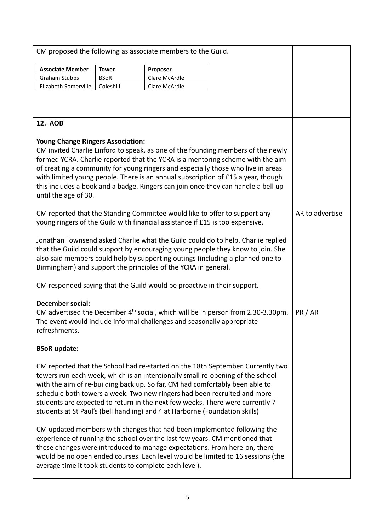|                                                                                                                                                                                                                                                                                                                                                                                  |              | CM proposed the following as associate members to the Guild.                  |                                                                                                                                                                                                                                                                                                                                                                                                                                 |                 |
|----------------------------------------------------------------------------------------------------------------------------------------------------------------------------------------------------------------------------------------------------------------------------------------------------------------------------------------------------------------------------------|--------------|-------------------------------------------------------------------------------|---------------------------------------------------------------------------------------------------------------------------------------------------------------------------------------------------------------------------------------------------------------------------------------------------------------------------------------------------------------------------------------------------------------------------------|-----------------|
| <b>Associate Member</b>                                                                                                                                                                                                                                                                                                                                                          | <b>Tower</b> | Proposer                                                                      |                                                                                                                                                                                                                                                                                                                                                                                                                                 |                 |
| <b>Graham Stubbs</b>                                                                                                                                                                                                                                                                                                                                                             | <b>BSoR</b>  | Clare McArdle                                                                 |                                                                                                                                                                                                                                                                                                                                                                                                                                 |                 |
| Elizabeth Somerville                                                                                                                                                                                                                                                                                                                                                             | Coleshill    | Clare McArdle                                                                 |                                                                                                                                                                                                                                                                                                                                                                                                                                 |                 |
|                                                                                                                                                                                                                                                                                                                                                                                  |              |                                                                               |                                                                                                                                                                                                                                                                                                                                                                                                                                 |                 |
| 12. AOB                                                                                                                                                                                                                                                                                                                                                                          |              |                                                                               |                                                                                                                                                                                                                                                                                                                                                                                                                                 |                 |
| <b>Young Change Ringers Association:</b><br>until the age of 30.                                                                                                                                                                                                                                                                                                                 |              |                                                                               | CM invited Charlie Linford to speak, as one of the founding members of the newly<br>formed YCRA. Charlie reported that the YCRA is a mentoring scheme with the aim<br>of creating a community for young ringers and especially those who live in areas<br>with limited young people. There is an annual subscription of £15 a year, though<br>this includes a book and a badge. Ringers can join once they can handle a bell up |                 |
|                                                                                                                                                                                                                                                                                                                                                                                  |              | young ringers of the Guild with financial assistance if £15 is too expensive. | CM reported that the Standing Committee would like to offer to support any                                                                                                                                                                                                                                                                                                                                                      | AR to advertise |
|                                                                                                                                                                                                                                                                                                                                                                                  |              | Birmingham) and support the principles of the YCRA in general.                | Jonathan Townsend asked Charlie what the Guild could do to help. Charlie replied<br>that the Guild could support by encouraging young people they know to join. She<br>also said members could help by supporting outings (including a planned one to                                                                                                                                                                           |                 |
|                                                                                                                                                                                                                                                                                                                                                                                  |              | CM responded saying that the Guild would be proactive in their support.       |                                                                                                                                                                                                                                                                                                                                                                                                                                 |                 |
| <b>December social:</b><br>refreshments.                                                                                                                                                                                                                                                                                                                                         |              | The event would include informal challenges and seasonally appropriate        | CM advertised the December $4th$ social, which will be in person from 2.30-3.30pm.                                                                                                                                                                                                                                                                                                                                              | PR / AR         |
| <b>BSoR</b> update:                                                                                                                                                                                                                                                                                                                                                              |              |                                                                               |                                                                                                                                                                                                                                                                                                                                                                                                                                 |                 |
|                                                                                                                                                                                                                                                                                                                                                                                  |              | students at St Paul's (bell handling) and 4 at Harborne (Foundation skills)   | CM reported that the School had re-started on the 18th September. Currently two<br>towers run each week, which is an intentionally small re-opening of the school<br>with the aim of re-building back up. So far, CM had comfortably been able to<br>schedule both towers a week. Two new ringers had been recruited and more<br>students are expected to return in the next few weeks. There were currently 7                  |                 |
| CM updated members with changes that had been implemented following the<br>experience of running the school over the last few years. CM mentioned that<br>these changes were introduced to manage expectations. From here-on, there<br>would be no open ended courses. Each level would be limited to 16 sessions (the<br>average time it took students to complete each level). |              |                                                                               |                                                                                                                                                                                                                                                                                                                                                                                                                                 |                 |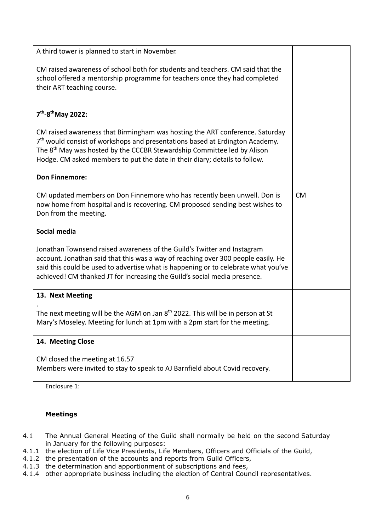| A third tower is planned to start in November.                                                                                                                                                                                                                                                                                      |           |
|-------------------------------------------------------------------------------------------------------------------------------------------------------------------------------------------------------------------------------------------------------------------------------------------------------------------------------------|-----------|
| CM raised awareness of school both for students and teachers. CM said that the<br>school offered a mentorship programme for teachers once they had completed<br>their ART teaching course.                                                                                                                                          |           |
| 7 <sup>th</sup> -8 <sup>th</sup> May 2022:                                                                                                                                                                                                                                                                                          |           |
| CM raised awareness that Birmingham was hosting the ART conference. Saturday<br>$7th$ would consist of workshops and presentations based at Erdington Academy.<br>The 8 <sup>th</sup> May was hosted by the CCCBR Stewardship Committee led by Alison<br>Hodge. CM asked members to put the date in their diary; details to follow. |           |
| <b>Don Finnemore:</b>                                                                                                                                                                                                                                                                                                               |           |
| CM updated members on Don Finnemore who has recently been unwell. Don is<br>now home from hospital and is recovering. CM proposed sending best wishes to<br>Don from the meeting.                                                                                                                                                   | <b>CM</b> |
| Social media                                                                                                                                                                                                                                                                                                                        |           |
| Jonathan Townsend raised awareness of the Guild's Twitter and Instagram<br>account. Jonathan said that this was a way of reaching over 300 people easily. He<br>said this could be used to advertise what is happening or to celebrate what you've<br>achieved! CM thanked JT for increasing the Guild's social media presence.     |           |
| 13. Next Meeting                                                                                                                                                                                                                                                                                                                    |           |
| The next meeting will be the AGM on Jan 8 <sup>th</sup> 2022. This will be in person at St<br>Mary's Moseley. Meeting for lunch at 1pm with a 2pm start for the meeting.                                                                                                                                                            |           |
| 14. Meeting Close                                                                                                                                                                                                                                                                                                                   |           |
| CM closed the meeting at 16.57<br>Members were invited to stay to speak to AJ Barnfield about Covid recovery.                                                                                                                                                                                                                       |           |

Enclosure 1:

# **Meetings**

- 4.1 The Annual General Meeting of the Guild shall normally be held on the second Saturday in January for the following purposes:
- 4.1.1 the election of Life Vice Presidents, Life Members, Officers and Officials of the Guild,
- 4.1.2 the presentation of the accounts and reports from Guild Officers,
- 4.1.3 the determination and apportionment of subscriptions and fees,
- 4.1.4 other appropriate business including the election of Central Council representatives.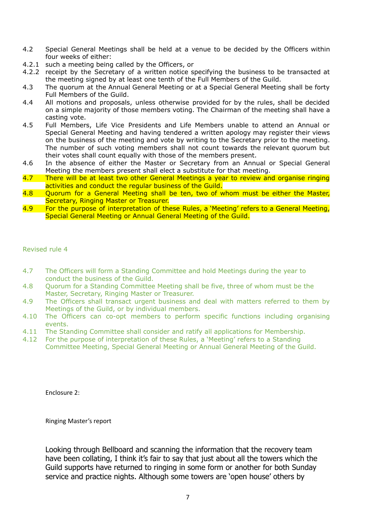- 4.2 Special General Meetings shall be held at a venue to be decided by the Officers within four weeks of either:
- 4.2.1 such a meeting being called by the Officers, or
- 4.2.2 receipt by the Secretary of a written notice specifying the business to be transacted at the meeting signed by at least one tenth of the Full Members of the Guild.
- 4.3 The quorum at the Annual General Meeting or at a Special General Meeting shall be forty Full Members of the Guild.
- 4.4 All motions and proposals, unless otherwise provided for by the rules, shall be decided on a simple majority of those members voting. The Chairman of the meeting shall have a casting vote.
- 4.5 Full Members, Life Vice Presidents and Life Members unable to attend an Annual or Special General Meeting and having tendered a written apology may register their views on the business of the meeting and vote by writing to the Secretary prior to the meeting. The number of such voting members shall not count towards the relevant quorum but their votes shall count equally with those of the members present.
- 4.6 In the absence of either the Master or Secretary from an Annual or Special General Meeting the members present shall elect a substitute for that meeting.
- 4.7 There will be at least two other General Meetings a year to review and organise ringing activities and conduct the regular business of the Guild.
- 4.8 Quorum for a General Meeting shall be ten, two of whom must be either the Master, Secretary, Ringing Master or Treasurer.
- 4.9 For the purpose of interpretation of these Rules, a 'Meeting' refers to a General Meeting, Special General Meeting or Annual General Meeting of the Guild.

Revised rule 4

- 4.7 The Officers will form a Standing Committee and hold Meetings during the year to conduct the business of the Guild.
- 4.8 Quorum for a Standing Committee Meeting shall be five, three of whom must be the Master, Secretary, Ringing Master or Treasurer.
- 4.9 The Officers shall transact urgent business and deal with matters referred to them by Meetings of the Guild, or by individual members.
- 4.10 The Officers can co-opt members to perform specific functions including organising events.
- 4.11 The Standing Committee shall consider and ratify all applications for Membership.
- 4.12 For the purpose of interpretation of these Rules, a 'Meeting' refers to a Standing Committee Meeting, Special General Meeting or Annual General Meeting of the Guild.

Enclosure 2:

Ringing Master's report

Looking through Bellboard and scanning the information that the recovery team have been collating, I think it's fair to say that just about all the towers which the Guild supports have returned to ringing in some form or another for both Sunday service and practice nights. Although some towers are 'open house' others by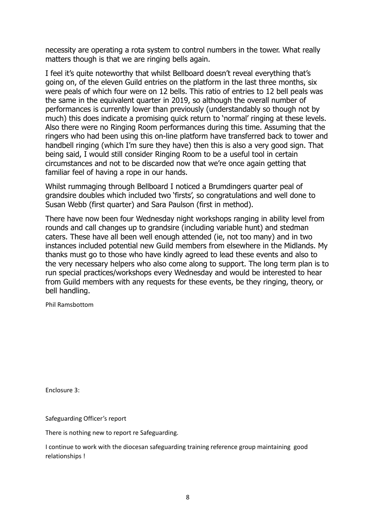necessity are operating a rota system to control numbers in the tower. What really matters though is that we are ringing bells again.

I feel it's quite noteworthy that whilst Bellboard doesn't reveal everything that's going on, of the eleven Guild entries on the platform in the last three months, six were peals of which four were on 12 bells. This ratio of entries to 12 bell peals was the same in the equivalent quarter in 2019, so although the overall number of performances is currently lower than previously (understandably so though not by much) this does indicate a promising quick return to 'normal' ringing at these levels. Also there were no Ringing Room performances during this time. Assuming that the ringers who had been using this on-line platform have transferred back to tower and handbell ringing (which I'm sure they have) then this is also a very good sign. That being said, I would still consider Ringing Room to be a useful tool in certain circumstances and not to be discarded now that we're once again getting that familiar feel of having a rope in our hands.

Whilst rummaging through Bellboard I noticed a Brumdingers quarter peal of grandsire doubles which included two 'firsts', so congratulations and well done to Susan Webb (first quarter) and Sara Paulson (first in method).

There have now been four Wednesday night workshops ranging in ability level from rounds and call changes up to grandsire (including variable hunt) and stedman caters. These have all been well enough attended (ie, not too many) and in two instances included potential new Guild members from elsewhere in the Midlands. My thanks must go to those who have kindly agreed to lead these events and also to the very necessary helpers who also come along to support. The long term plan is to run special practices/workshops every Wednesday and would be interested to hear from Guild members with any requests for these events, be they ringing, theory, or bell handling.

Phil Ramsbottom

Enclosure 3:

Safeguarding Officer's report

There is nothing new to report re Safeguarding.

I continue to work with the diocesan safeguarding training reference group maintaining good relationships !